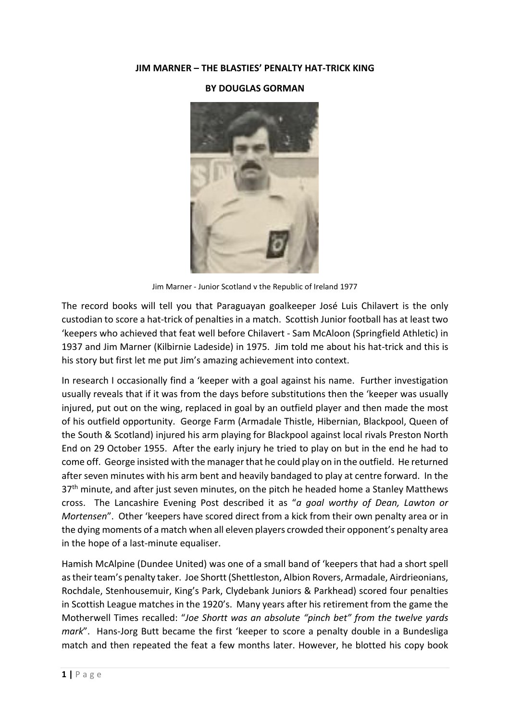## JIM MARNER – THE BLASTIES' PENALTY HAT-TRICK KING

## BY DOUGLAS GORMAN



Jim Marner - Junior Scotland v the Republic of Ireland 1977

The record books will tell you that Paraguayan goalkeeper José Luis Chilavert is the only custodian to score a hat-trick of penalties in a match. Scottish Junior football has at least two 'keepers who achieved that feat well before Chilavert - Sam McAloon (Springfield Athletic) in 1937 and Jim Marner (Kilbirnie Ladeside) in 1975. Jim told me about his hat-trick and this is his story but first let me put Jim's amazing achievement into context.

In research I occasionally find a 'keeper with a goal against his name. Further investigation usually reveals that if it was from the days before substitutions then the 'keeper was usually injured, put out on the wing, replaced in goal by an outfield player and then made the most of his outfield opportunity. George Farm (Armadale Thistle, Hibernian, Blackpool, Queen of the South & Scotland) injured his arm playing for Blackpool against local rivals Preston North End on 29 October 1955. After the early injury he tried to play on but in the end he had to come off. George insisted with the manager that he could play on in the outfield. He returned after seven minutes with his arm bent and heavily bandaged to play at centre forward. In the  $37<sup>th</sup>$  minute, and after just seven minutes, on the pitch he headed home a Stanley Matthews cross. The Lancashire Evening Post described it as "*a goal worthy of Dean, Lawton or Mortensen*". Other 'keepers have scored direct from a kick from their own penalty area or in the dying moments of a match when all eleven players crowded their opponent's penalty area in the hope of a last-minute equaliser.

Hamish McAlpine (Dundee United) was one of a small band of 'keepers that had a short spell as their team's penalty taker. Joe Shortt (Shettleston, Albion Rovers, Armadale, Airdrieonians, Rochdale, Stenhousemuir, King's Park, Clydebank Juniors & Parkhead) scored four penalties in Scottish League matches in the 1920's. Many years after his retirement from the game the Motherwell Times recalled: "*Joe Shortt was an absolute "pinch bet" from the twelve yards mark*". Hans-Jorg Butt became the first 'keeper to score a penalty double in a Bundesliga match and then repeated the feat a few months later. However, he blotted his copy book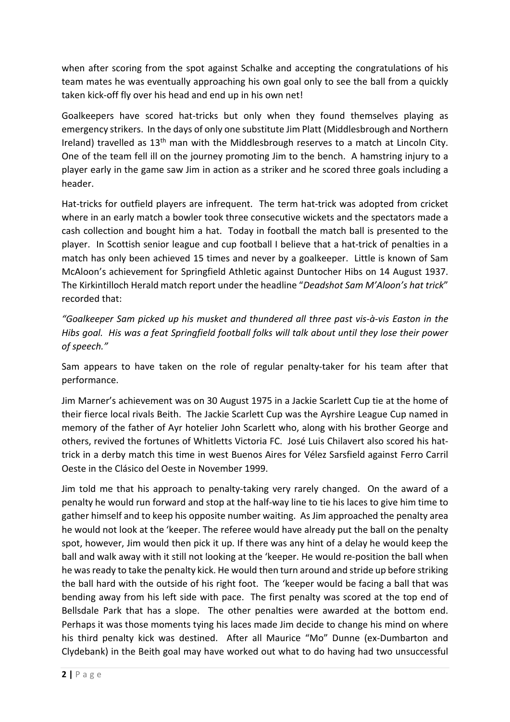when after scoring from the spot against Schalke and accepting the congratulations of his team mates he was eventually approaching his own goal only to see the ball from a quickly taken kick-off fly over his head and end up in his own net!

Goalkeepers have scored hat-tricks but only when they found themselves playing as emergency strikers. In the days of only one substitute Jim Platt (Middlesbrough and Northern Ireland) travelled as 13<sup>th</sup> man with the Middlesbrough reserves to a match at Lincoln City. One of the team fell ill on the journey promoting Jim to the bench. A hamstring injury to a player early in the game saw Jim in action as a striker and he scored three goals including a header.

Hat-tricks for outfield players are infrequent. The term hat-trick was adopted from cricket where in an early match a bowler took three consecutive wickets and the spectators made a cash collection and bought him a hat. Today in football the match ball is presented to the player. In Scottish senior league and cup football I believe that a hat-trick of penalties in a match has only been achieved 15 times and never by a goalkeeper. Little is known of Sam McAloon's achievement for Springfield Athletic against Duntocher Hibs on 14 August 1937. The Kirkintilloch Herald match report under the headline "*Deadshot Sam M'Aloon's hat trick*" recorded that:

*"Goalkeeper Sam picked up his musket and thundered all three past vis-à-vis Easton in the Hibs goal. His was a feat Springfield football folks will talk about until they lose their power of speech."*

Sam appears to have taken on the role of regular penalty-taker for his team after that performance.

Jim Marner's achievement was on 30 August 1975 in a Jackie Scarlett Cup tie at the home of their fierce local rivals Beith. The Jackie Scarlett Cup was the Ayrshire League Cup named in memory of the father of Ayr hotelier John Scarlett who, along with his brother George and others, revived the fortunes of Whitletts Victoria FC. José Luis Chilavert also scored his hattrick in a derby match this time in west Buenos Aires for Vélez Sarsfield against Ferro Carril Oeste in the Clásico del Oeste in November 1999.

Jim told me that his approach to penalty-taking very rarely changed. On the award of a penalty he would run forward and stop at the half-way line to tie his laces to give him time to gather himself and to keep his opposite number waiting. As Jim approached the penalty area he would not look at the 'keeper. The referee would have already put the ball on the penalty spot, however, Jim would then pick it up. If there was any hint of a delay he would keep the ball and walk away with it still not looking at the 'keeper. He would re-position the ball when he was ready to take the penalty kick. He would then turn around and stride up before striking the ball hard with the outside of his right foot. The 'keeper would be facing a ball that was bending away from his left side with pace. The first penalty was scored at the top end of Bellsdale Park that has a slope. The other penalties were awarded at the bottom end. Perhaps it was those moments tying his laces made Jim decide to change his mind on where his third penalty kick was destined. After all Maurice "Mo" Dunne (ex-Dumbarton and Clydebank) in the Beith goal may have worked out what to do having had two unsuccessful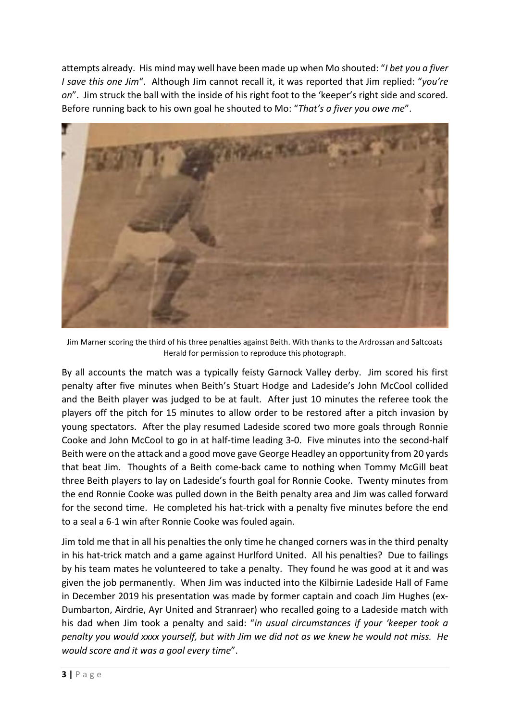attempts already. His mind may well have been made up when Mo shouted: "*I bet you a fiver I save this one Jim*". Although Jim cannot recall it, it was reported that Jim replied: "*you're on*". Jim struck the ball with the inside of his right foot to the 'keeper's right side and scored. Before running back to his own goal he shouted to Mo: "*That's a fiver you owe me*".



Jim Marner scoring the third of his three penalties against Beith. With thanks to the Ardrossan and Saltcoats Herald for permission to reproduce this photograph.

By all accounts the match was a typically feisty Garnock Valley derby. Jim scored his first penalty after five minutes when Beith's Stuart Hodge and Ladeside's John McCool collided and the Beith player was judged to be at fault. After just 10 minutes the referee took the players off the pitch for 15 minutes to allow order to be restored after a pitch invasion by young spectators. After the play resumed Ladeside scored two more goals through Ronnie Cooke and John McCool to go in at half-time leading 3-0. Five minutes into the second-half Beith were on the attack and a good move gave George Headley an opportunity from 20 yards that beat Jim. Thoughts of a Beith come-back came to nothing when Tommy McGill beat three Beith players to lay on Ladeside's fourth goal for Ronnie Cooke. Twenty minutes from the end Ronnie Cooke was pulled down in the Beith penalty area and Jim was called forward for the second time. He completed his hat-trick with a penalty five minutes before the end to a seal a 6-1 win after Ronnie Cooke was fouled again.

Jim told me that in all his penalties the only time he changed corners was in the third penalty in his hat-trick match and a game against Hurlford United. All his penalties? Due to failings by his team mates he volunteered to take a penalty. They found he was good at it and was given the job permanently. When Jim was inducted into the Kilbirnie Ladeside Hall of Fame in December 2019 his presentation was made by former captain and coach Jim Hughes (ex-Dumbarton, Airdrie, Ayr United and Stranraer) who recalled going to a Ladeside match with his dad when Jim took a penalty and said: "*in usual circumstances if your 'keeper took a penalty you would xxxx yourself, but with Jim we did not as we knew he would not miss. He would score and it was a goal every time*".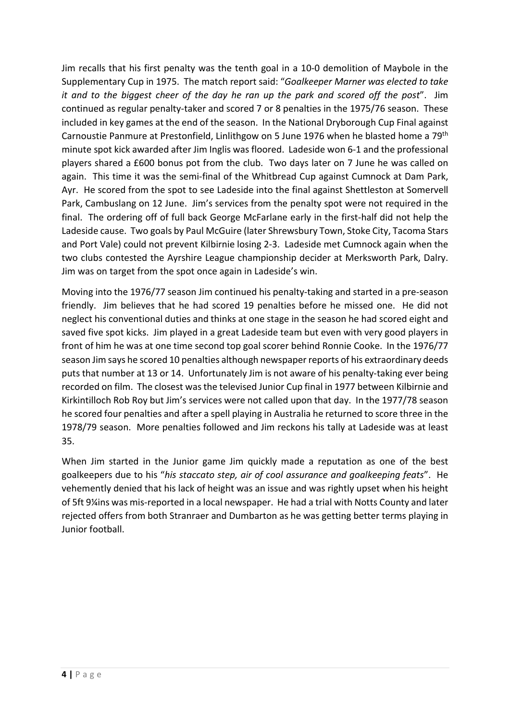Jim recalls that his first penalty was the tenth goal in a 10-0 demolition of Maybole in the Supplementary Cup in 1975. The match report said: "*Goalkeeper Marner was elected to take it and to the biggest cheer of the day he ran up the park and scored off the post*". Jim continued as regular penalty-taker and scored 7 or 8 penalties in the 1975/76 season. These included in key games at the end of the season. In the National Dryborough Cup Final against Carnoustie Panmure at Prestonfield, Linlithgow on 5 June 1976 when he blasted home a 79<sup>th</sup> minute spot kick awarded after Jim Inglis was floored. Ladeside won 6-1 and the professional players shared a £600 bonus pot from the club. Two days later on 7 June he was called on again. This time it was the semi-final of the Whitbread Cup against Cumnock at Dam Park, Ayr. He scored from the spot to see Ladeside into the final against Shettleston at Somervell Park, Cambuslang on 12 June. Jim's services from the penalty spot were not required in the final. The ordering off of full back George McFarlane early in the first-half did not help the Ladeside cause. Two goals by Paul McGuire (later Shrewsbury Town, Stoke City, Tacoma Stars and Port Vale) could not prevent Kilbirnie losing 2-3. Ladeside met Cumnock again when the two clubs contested the Ayrshire League championship decider at Merksworth Park, Dalry. Jim was on target from the spot once again in Ladeside's win.

Moving into the 1976/77 season Jim continued his penalty-taking and started in a pre-season friendly. Jim believes that he had scored 19 penalties before he missed one. He did not neglect his conventional duties and thinks at one stage in the season he had scored eight and saved five spot kicks. Jim played in a great Ladeside team but even with very good players in front of him he was at one time second top goal scorer behind Ronnie Cooke. In the 1976/77 season Jim says he scored 10 penalties although newspaper reports of his extraordinary deeds puts that number at 13 or 14. Unfortunately Jim is not aware of his penalty-taking ever being recorded on film. The closest was the televised Junior Cup final in 1977 between Kilbirnie and Kirkintilloch Rob Roy but Jim's services were not called upon that day. In the 1977/78 season he scored four penalties and after a spell playing in Australia he returned to score three in the 1978/79 season. More penalties followed and Jim reckons his tally at Ladeside was at least 35.

When Jim started in the Junior game Jim quickly made a reputation as one of the best goalkeepers due to his "*his staccato step, air of cool assurance and goalkeeping feats*". He vehemently denied that his lack of height was an issue and was rightly upset when his height of 5ft 9¼ins was mis-reported in a local newspaper. He had a trial with Notts County and later rejected offers from both Stranraer and Dumbarton as he was getting better terms playing in Junior football.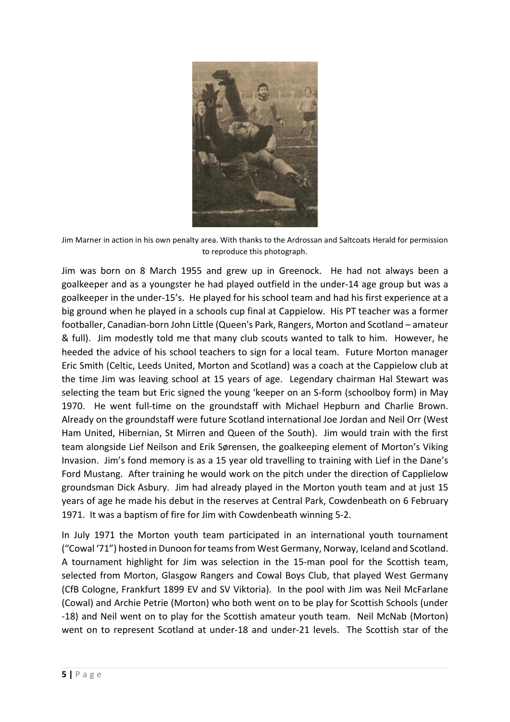

Jim Marner in action in his own penalty area. With thanks to the Ardrossan and Saltcoats Herald for permission to reproduce this photograph.

Jim was born on 8 March 1955 and grew up in Greenock. He had not always been a goalkeeper and as a youngster he had played outfield in the under-14 age group but was a goalkeeper in the under-15's. He played for his school team and had his first experience at a big ground when he played in a schools cup final at Cappielow. His PT teacher was a former footballer, Canadian-born John Little (Queen's Park, Rangers, Morton and Scotland – amateur & full). Jim modestly told me that many club scouts wanted to talk to him. However, he heeded the advice of his school teachers to sign for a local team. Future Morton manager Eric Smith (Celtic, Leeds United, Morton and Scotland) was a coach at the Cappielow club at the time Jim was leaving school at 15 years of age. Legendary chairman Hal Stewart was selecting the team but Eric signed the young 'keeper on an S-form (schoolboy form) in May 1970. He went full-time on the groundstaff with Michael Hepburn and Charlie Brown. Already on the groundstaff were future Scotland international Joe Jordan and Neil Orr (West Ham United, Hibernian, St Mirren and Queen of the South). Jim would train with the first team alongside Lief Neilson and Erik Sørensen, the goalkeeping element of Morton's Viking Invasion. Jim's fond memory is as a 15 year old travelling to training with Lief in the Dane's Ford Mustang. After training he would work on the pitch under the direction of Capplielow groundsman Dick Asbury. Jim had already played in the Morton youth team and at just 15 years of age he made his debut in the reserves at Central Park, Cowdenbeath on 6 February 1971. It was a baptism of fire for Jim with Cowdenbeath winning 5-2.

In July 1971 the Morton youth team participated in an international youth tournament ("Cowal '71") hosted in Dunoon for teams from West Germany, Norway, Iceland and Scotland. A tournament highlight for Jim was selection in the 15-man pool for the Scottish team, selected from Morton, Glasgow Rangers and Cowal Boys Club, that played West Germany (CfB Cologne, Frankfurt 1899 EV and SV Viktoria). In the pool with Jim was Neil McFarlane (Cowal) and Archie Petrie (Morton) who both went on to be play for Scottish Schools (under -18) and Neil went on to play for the Scottish amateur youth team. Neil McNab (Morton) went on to represent Scotland at under-18 and under-21 levels. The Scottish star of the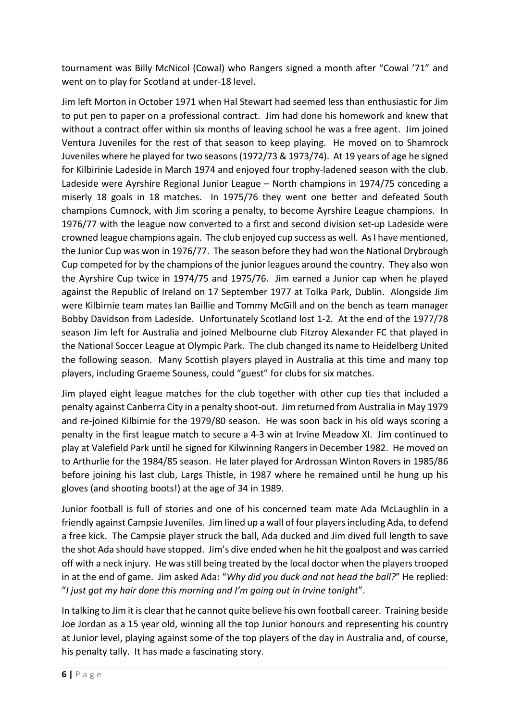tournament was Billy McNicol (Cowal) who Rangers signed a month after "Cowal '71" and went on to play for Scotland at under-18 level.

Jim left Morton in October 1971 when Hal Stewart had seemed less than enthusiastic for Jim to put pen to paper on a professional contract. Jim had done his homework and knew that without a contract offer within six months of leaving school he was a free agent. Jim joined Ventura Juveniles for the rest of that season to keep playing. He moved on to Shamrock Juveniles where he played for two seasons (1972/73 & 1973/74). At 19 years of age he signed for Kilbirinie Ladeside in March 1974 and enjoyed four trophy-ladened season with the club. Ladeside were Ayrshire Regional Junior League – North champions in 1974/75 conceding a miserly 18 goals in 18 matches. In 1975/76 they went one better and defeated South champions Cumnock, with Jim scoring a penalty, to become Ayrshire League champions. In 1976/77 with the league now converted to a first and second division set-up Ladeside were crowned league champions again. The club enjoyed cup success as well. As I have mentioned, the Junior Cup was won in 1976/77. The season before they had won the National Drybrough Cup competed for by the champions of the junior leagues around the country. They also won the Ayrshire Cup twice in 1974/75 and 1975/76. Jim earned a Junior cap when he played against the Republic of Ireland on 17 September 1977 at Tolka Park, Dublin. Alongside Jim were Kilbirnie team mates Ian Baillie and Tommy McGill and on the bench as team manager Bobby Davidson from Ladeside. Unfortunately Scotland lost 1-2. At the end of the 1977/78 season Jim left for Australia and joined Melbourne club Fitzroy Alexander FC that played in the National Soccer League at Olympic Park. The club changed its name to Heidelberg United the following season. Many Scottish players played in Australia at this time and many top players, including Graeme Souness, could "guest" for clubs for six matches.

Jim played eight league matches for the club together with other cup ties that included a penalty against Canberra City in a penalty shoot-out. Jim returned from Australia in May 1979 and re-joined Kilbirnie for the 1979/80 season. He was soon back in his old ways scoring a penalty in the first league match to secure a 4-3 win at Irvine Meadow XI. Jim continued to play at Valefield Park until he signed for Kilwinning Rangers in December 1982. He moved on to Arthurlie for the 1984/85 season. He later played for Ardrossan Winton Rovers in 1985/86 before joining his last club, Largs Thistle, in 1987 where he remained until he hung up his gloves (and shooting boots!) at the age of 34 in 1989.

Junior football is full of stories and one of his concerned team mate Ada McLaughlin in a friendly against Campsie Juveniles. Jim lined up a wall of four players including Ada, to defend a free kick. The Campsie player struck the ball, Ada ducked and Jim dived full length to save the shot Ada should have stopped. Jim's dive ended when he hit the goalpost and was carried off with a neck injury. He was still being treated by the local doctor when the players trooped in at the end of game. Jim asked Ada: "*Why did you duck and not head the ball?*" He replied: "*I just got my hair done this morning and I'm going out in Irvine tonight*".

In talking to Jim it is clear that he cannot quite believe his own football career. Training beside Joe Jordan as a 15 year old, winning all the top Junior honours and representing his country at Junior level, playing against some of the top players of the day in Australia and, of course, his penalty tally. It has made a fascinating story.